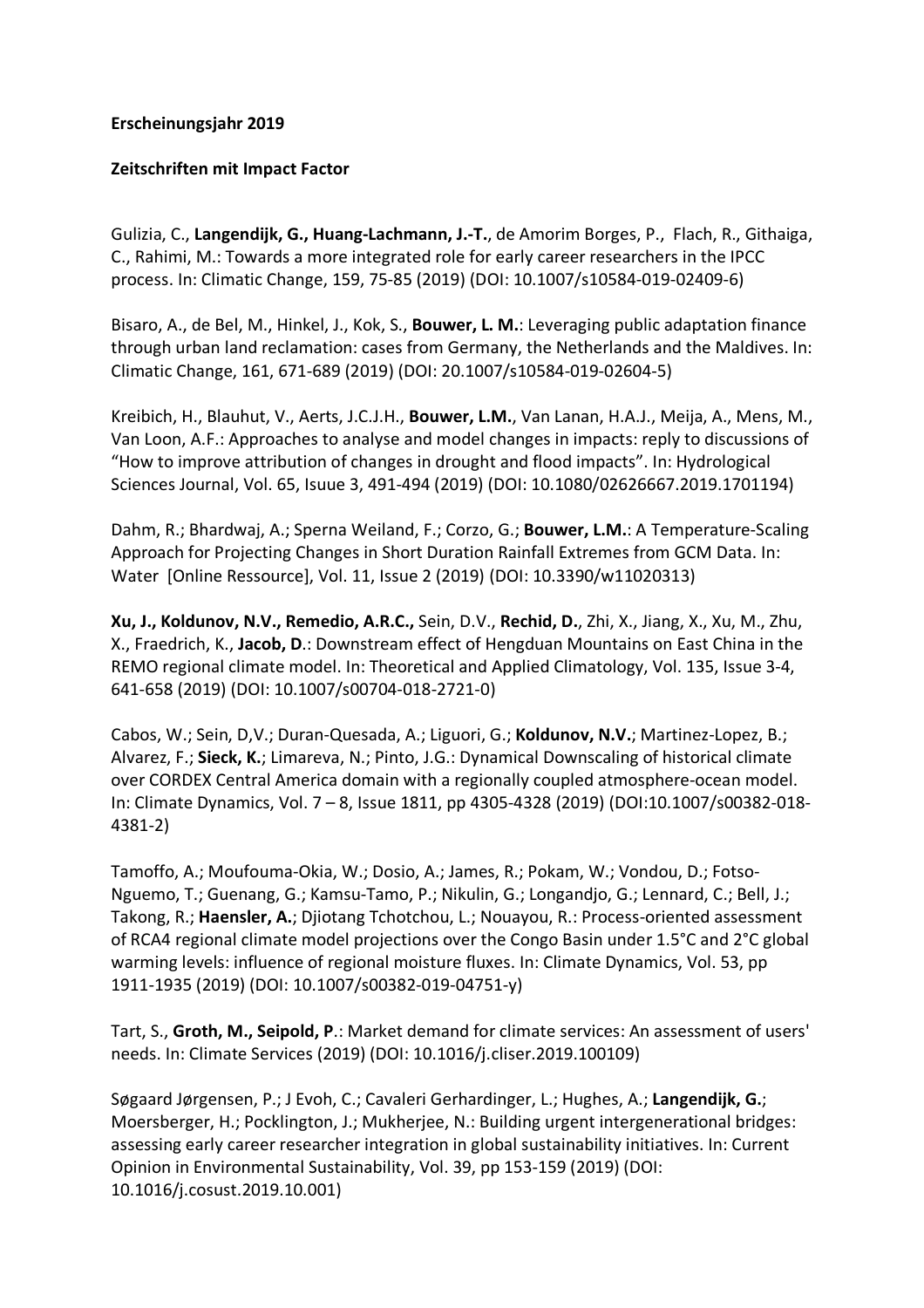## **Erscheinungsjahr 2019**

## **Zeitschriften mit Impact Factor**

Gulizia, C., **Langendijk, G., Huang-Lachmann, J.-T.**, de Amorim Borges, P., Flach, R., Githaiga, C., Rahimi, M.: Towards a more integrated role for early career researchers in the IPCC process. In: Climatic Change, 159, 75-85 (2019) (DOI: 10.1007/s10584-019-02409-6)

Bisaro, A., de Bel, M., Hinkel, J., Kok, S., **Bouwer, L. M.**: Leveraging public adaptation finance through urban land reclamation: cases from Germany, the Netherlands and the Maldives. In: Climatic Change, 161, 671-689 (2019) (DOI: 20.1007/s10584-019-02604-5)

Kreibich, H., Blauhut, V., Aerts, J.C.J.H., **Bouwer, L.M.**, Van Lanan, H.A.J., Meija, A., Mens, M., Van Loon, A.F.: Approaches to analyse and model changes in impacts: reply to discussions of "How to improve attribution of changes in drought and flood impacts". In: Hydrological Sciences Journal, Vol. 65, Isuue 3, 491-494 (2019) (DOI: 10.1080/02626667.2019.1701194)

Dahm, R.; Bhardwaj, A.; Sperna Weiland, F.; Corzo, G.; **Bouwer, L.M.**: A Temperature-Scaling Approach for Projecting Changes in Short Duration Rainfall Extremes from GCM Data. In: Water [Online Ressource], Vol. 11, Issue 2 (2019) (DOI: 10.3390/w11020313)

**Xu, J., Koldunov, N.V., Remedio, A.R.C.,** Sein, D.V., **Rechid, D.**, Zhi, X., Jiang, X., Xu, M., Zhu, X., Fraedrich, K., **Jacob, D**.: Downstream effect of Hengduan Mountains on East China in the REMO regional climate model. In: Theoretical and Applied Climatology, Vol. 135, Issue 3-4, 641-658 (2019) (DOI: 10.1007/s00704-018-2721-0)

Cabos, W.; Sein, D,V.; Duran-Quesada, A.; Liguori, G.; **Koldunov, N.V.**; Martinez-Lopez, B.; Alvarez, F.; **Sieck, K.**; Limareva, N.; Pinto, J.G.: Dynamical Downscaling of historical climate over CORDEX Central America domain with a regionally coupled atmosphere-ocean model. In: Climate Dynamics, Vol. 7 – 8, Issue 1811, pp 4305-4328 (2019) (DOI:10.1007/s00382-018- 4381-2)

Tamoffo, A.; Moufouma-Okia, W.; Dosio, A.; James, R.; Pokam, W.; Vondou, D.; Fotso-Nguemo, T.; Guenang, G.; Kamsu-Tamo, P.; Nikulin, G.; Longandjo, G.; Lennard, C.; Bell, J.; Takong, R.; **Haensler, A.**; Djiotang Tchotchou, L.; Nouayou, R.: Process-oriented assessment of RCA4 regional climate model projections over the Congo Basin under 1.5°C and 2°C global warming levels: influence of regional moisture fluxes. In: Climate Dynamics, Vol. 53, pp 1911-1935 (2019) (DOI: 10.1007/s00382-019-04751-y)

Tart, S., **Groth, M., Seipold, P**.: Market demand for climate services: An assessment of users' needs. In: Climate Services (2019) (DOI: 10.1016/j.cliser.2019.100109)

Søgaard Jørgensen, P.; J Evoh, C.; Cavaleri Gerhardinger, L.; Hughes, A.; **Langendijk, G.**; Moersberger, H.; Pocklington, J.; Mukherjee, N.: Building urgent intergenerational bridges: assessing early career researcher integration in global sustainability initiatives. In: Current Opinion in Environmental Sustainability, Vol. 39, pp 153-159 (2019) (DOI: 10.1016/j.cosust.2019.10.001)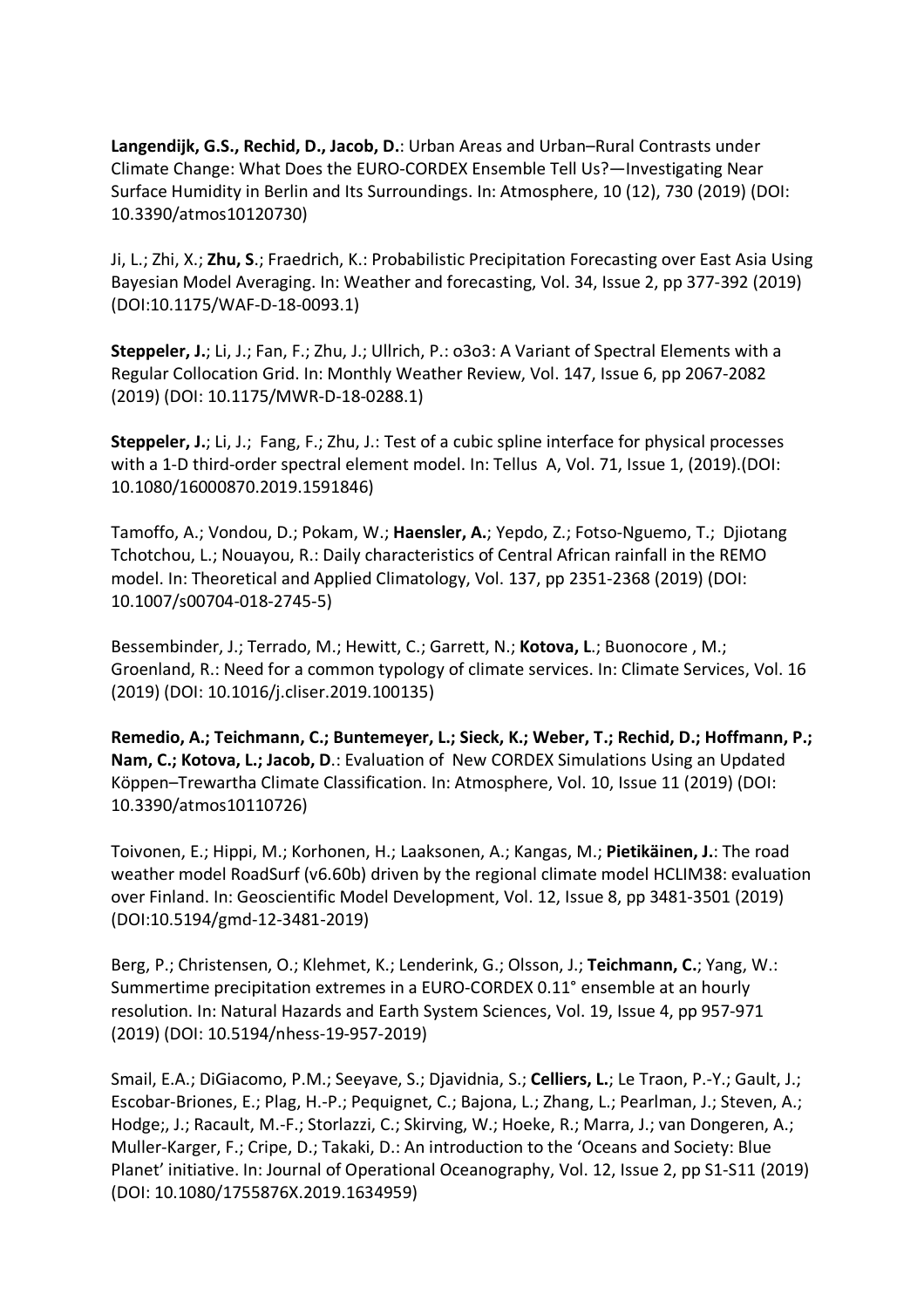**Langendijk, G.S., Rechid, D., Jacob, D.**: Urban Areas and Urban–Rural Contrasts under Climate Change: What Does the EURO-CORDEX Ensemble Tell Us?—Investigating Near Surface Humidity in Berlin and Its Surroundings. In: Atmosphere, 10 (12), 730 (2019) (DOI: 10.3390/atmos10120730)

Ji, L.; Zhi, X.; **Zhu, S**.; Fraedrich, K.: Probabilistic Precipitation Forecasting over East Asia Using Bayesian Model Averaging. In: Weather and forecasting, Vol. 34, Issue 2, pp 377-392 (2019) (DOI:10.1175/WAF-D-18-0093.1)

**Steppeler, J.**; Li, J.; Fan, F.; Zhu, J.; Ullrich, P.: o3o3: A Variant of Spectral Elements with a Regular Collocation Grid. In: Monthly Weather Review, Vol. 147, Issue 6, pp 2067-2082 (2019) (DOI: 10.1175/MWR-D-18-0288.1)

**Steppeler, J.**; Li, J.; Fang, F.; Zhu, J.: Test of a cubic spline interface for physical processes with a 1-D third-order spectral element model. In: Tellus A, Vol. 71, Issue 1, (2019).(DOI: 10.1080/16000870.2019.1591846)

Tamoffo, A.; Vondou, D.; Pokam, W.; **Haensler, A.**; Yepdo, Z.; Fotso-Nguemo, T.; Djiotang Tchotchou, L.; Nouayou, R.: Daily characteristics of Central African rainfall in the REMO model. In: Theoretical and Applied Climatology, Vol. 137, pp 2351-2368 (2019) (DOI: 10.1007/s00704-018-2745-5)

Bessembinder, J.; Terrado, M.; Hewitt, C.; Garrett, N.; **Kotova, L**.; Buonocore , M.; Groenland, R.: Need for a common typology of climate services. In: Climate Services, Vol. 16 (2019) (DOI: 10.1016/j.cliser.2019.100135)

**Remedio, A.; Teichmann, C.; Buntemeyer, L.; Sieck, K.; Weber, T.; Rechid, D.; Hoffmann, P.; Nam, C.; Kotova, L.; Jacob, D**.: Evaluation of New CORDEX Simulations Using an Updated Köppen–Trewartha Climate Classification. In: Atmosphere, Vol. 10, Issue 11 (2019) (DOI: 10.3390/atmos10110726)

Toivonen, E.; Hippi, M.; Korhonen, H.; Laaksonen, A.; Kangas, M.; **Pietikäinen, J.**: The road weather model RoadSurf (v6.60b) driven by the regional climate model HCLIM38: evaluation over Finland. In: Geoscientific Model Development, Vol. 12, Issue 8, pp 3481-3501 (2019) (DOI:10.5194/gmd-12-3481-2019)

Berg, P.; Christensen, O.; Klehmet, K.; Lenderink, G.; Olsson, J.; **Teichmann, C.**; Yang, W.: Summertime precipitation extremes in a EURO-CORDEX 0.11° ensemble at an hourly resolution. In: Natural Hazards and Earth System Sciences, Vol. 19, Issue 4, pp 957-971 (2019) (DOI: 10.5194/nhess-19-957-2019)

Smail, E.A.; DiGiacomo, P.M.; Seeyave, S.; Djavidnia, S.; **Celliers, L.**; Le Traon, P.-Y.; Gault, J.; Escobar-Briones, E.; Plag, H.-P.; Pequignet, C.; Bajona, L.; Zhang, L.; Pearlman, J.; Steven, A.; Hodge;, J.; Racault, M.-F.; Storlazzi, C.; Skirving, W.; Hoeke, R.; Marra, J.; van Dongeren, A.; Muller-Karger, F.; Cripe, D.; Takaki, D.: An introduction to the 'Oceans and Society: Blue Planet' initiative. In: Journal of Operational Oceanography, Vol. 12, Issue 2, pp S1-S11 (2019) (DOI: 10.1080/1755876X.2019.1634959)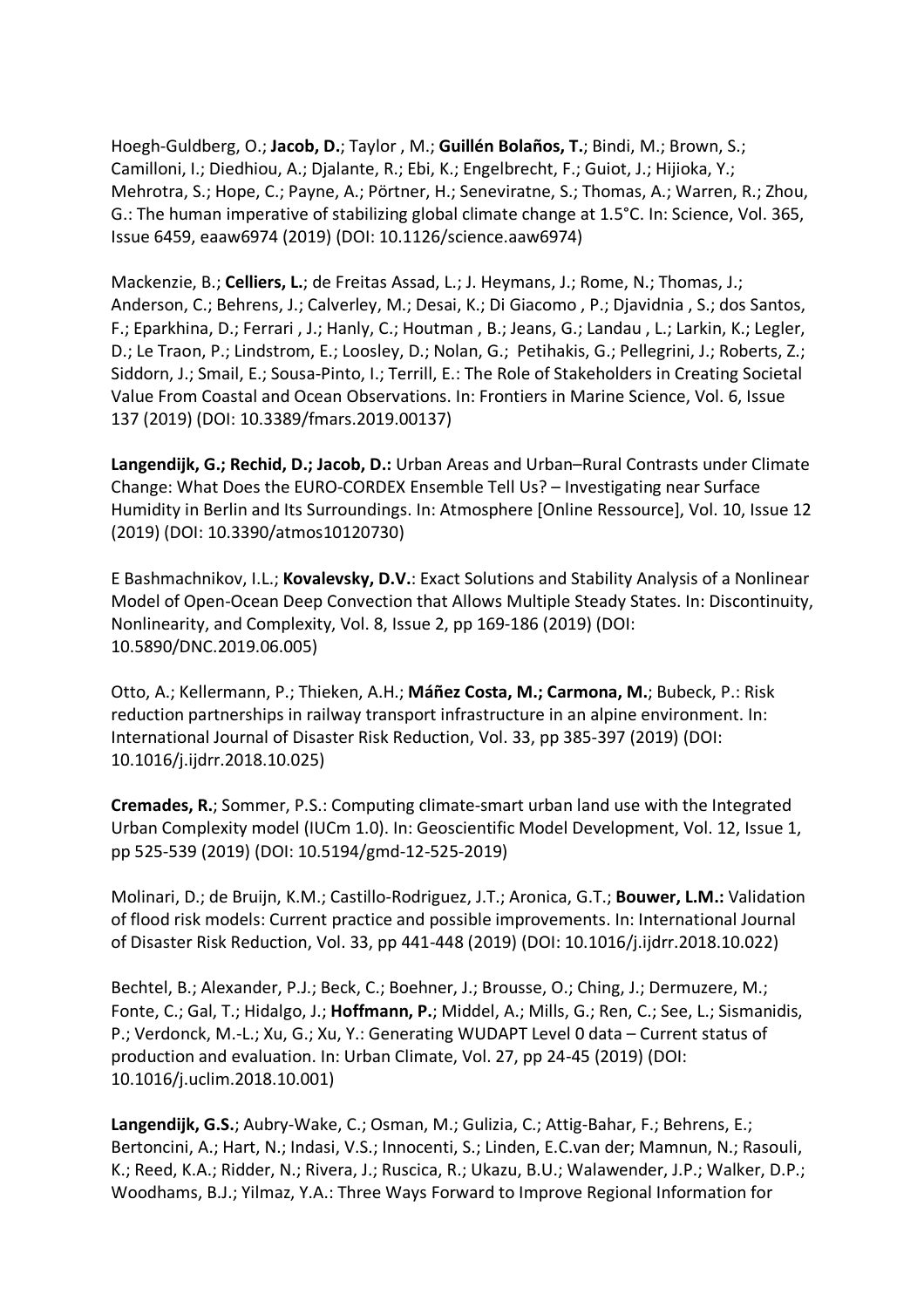Hoegh-Guldberg, O.; **Jacob, D.**; Taylor , M.; **Guillén Bolaños, T.**; Bindi, M.; Brown, S.; Camilloni, I.; Diedhiou, A.; Djalante, R.; Ebi, K.; Engelbrecht, F.; Guiot, J.; Hijioka, Y.; Mehrotra, S.; Hope, C.; Payne, A.; Pörtner, H.; Seneviratne, S.; Thomas, A.; Warren, R.; Zhou, G.: The human imperative of stabilizing global climate change at 1.5°C. In: Science, Vol. 365, Issue 6459, eaaw6974 (2019) (DOI: 10.1126/science.aaw6974)

Mackenzie, B.; **Celliers, L.**; de Freitas Assad, L.; J. Heymans, J.; Rome, N.; Thomas, J.; Anderson, C.; Behrens, J.; Calverley, M.; Desai, K.; Di Giacomo , P.; Djavidnia , S.; dos Santos, F.; Eparkhina, D.; Ferrari , J.; Hanly, C.; Houtman , B.; Jeans, G.; Landau , L.; Larkin, K.; Legler, D.; Le Traon, P.; Lindstrom, E.; Loosley, D.; Nolan, G.; Petihakis, G.; Pellegrini, J.; Roberts, Z.; Siddorn, J.; Smail, E.; Sousa-Pinto, I.; Terrill, E.: The Role of Stakeholders in Creating Societal Value From Coastal and Ocean Observations. In: Frontiers in Marine Science, Vol. 6, Issue 137 (2019) (DOI: 10.3389/fmars.2019.00137)

**Langendijk, G.; Rechid, D.; Jacob, D.:** Urban Areas and Urban–Rural Contrasts under Climate Change: What Does the EURO-CORDEX Ensemble Tell Us? – Investigating near Surface Humidity in Berlin and Its Surroundings. In: Atmosphere [Online Ressource], Vol. 10, Issue 12 (2019) (DOI: 10.3390/atmos10120730)

E Bashmachnikov, I.L.; **Kovalevsky, D.V.**: Exact Solutions and Stability Analysis of a Nonlinear Model of Open-Ocean Deep Convection that Allows Multiple Steady States. In: Discontinuity, Nonlinearity, and Complexity, Vol. 8, Issue 2, pp 169-186 (2019) (DOI: 10.5890/DNC.2019.06.005)

Otto, A.; Kellermann, P.; Thieken, A.H.; **Máñez Costa, M.; Carmona, M.**; Bubeck, P.: Risk reduction partnerships in railway transport infrastructure in an alpine environment. In: International Journal of Disaster Risk Reduction, Vol. 33, pp 385-397 (2019) (DOI: 10.1016/j.ijdrr.2018.10.025)

**Cremades, R.**; Sommer, P.S.: Computing climate-smart urban land use with the Integrated Urban Complexity model (IUCm 1.0). In: Geoscientific Model Development, Vol. 12, Issue 1, pp 525-539 (2019) (DOI: 10.5194/gmd-12-525-2019)

Molinari, D.; de Bruijn, K.M.; Castillo-Rodriguez, J.T.; Aronica, G.T.; **Bouwer, L.M.:** Validation of flood risk models: Current practice and possible improvements. In: International Journal of Disaster Risk Reduction, Vol. 33, pp 441-448 (2019) (DOI: 10.1016/j.ijdrr.2018.10.022)

Bechtel, B.; Alexander, P.J.; Beck, C.; Boehner, J.; Brousse, O.; Ching, J.; Dermuzere, M.; Fonte, C.; Gal, T.; Hidalgo, J.; **Hoffmann, P.**; Middel, A.; Mills, G.; Ren, C.; See, L.; Sismanidis, P.; Verdonck, M.-L.; Xu, G.; Xu, Y.: Generating WUDAPT Level 0 data – Current status of production and evaluation. In: Urban Climate, Vol. 27, pp 24-45 (2019) (DOI: 10.1016/j.uclim.2018.10.001)

**Langendijk, G.S.**; Aubry-Wake, C.; Osman, M.; Gulizia, C.; Attig-Bahar, F.; Behrens, E.; Bertoncini, A.; Hart, N.; Indasi, V.S.; Innocenti, S.; Linden, E.C.van der; Mamnun, N.; Rasouli, K.; Reed, K.A.; Ridder, N.; Rivera, J.; Ruscica, R.; Ukazu, B.U.; Walawender, J.P.; Walker, D.P.; Woodhams, B.J.; Yilmaz, Y.A.: Three Ways Forward to Improve Regional Information for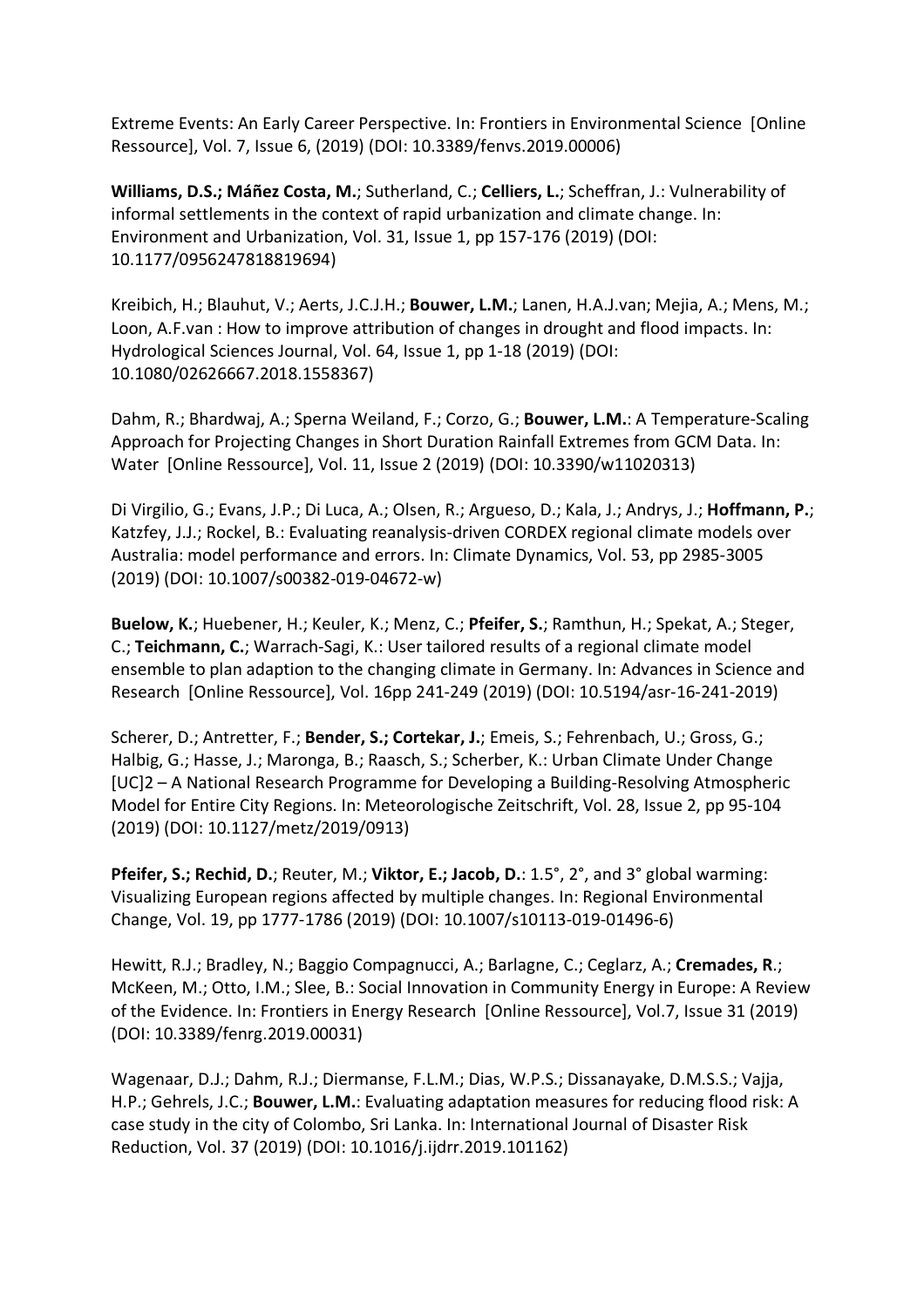Extreme Events: An Early Career Perspective. In: Frontiers in Environmental Science [Online Ressource], Vol. 7, Issue 6, (2019) (DOI: 10.3389/fenvs.2019.00006)

**Williams, D.S.; Máñez Costa, M.**; Sutherland, C.; **Celliers, L.**; Scheffran, J.: Vulnerability of informal settlements in the context of rapid urbanization and climate change. In: Environment and Urbanization, Vol. 31, Issue 1, pp 157-176 (2019) (DOI: 10.1177/0956247818819694)

Kreibich, H.; Blauhut, V.; Aerts, J.C.J.H.; **Bouwer, L.M.**; Lanen, H.A.J.van; Mejia, A.; Mens, M.; Loon, A.F.van : How to improve attribution of changes in drought and flood impacts. In: Hydrological Sciences Journal, Vol. 64, Issue 1, pp 1-18 (2019) (DOI: 10.1080/02626667.2018.1558367)

Dahm, R.; Bhardwaj, A.; Sperna Weiland, F.; Corzo, G.; **Bouwer, L.M.**: A Temperature-Scaling Approach for Projecting Changes in Short Duration Rainfall Extremes from GCM Data. In: Water [Online Ressource], Vol. 11, Issue 2 (2019) (DOI: 10.3390/w11020313)

Di Virgilio, G.; Evans, J.P.; Di Luca, A.; Olsen, R.; Argueso, D.; Kala, J.; Andrys, J.; **Hoffmann, P.**; Katzfey, J.J.; Rockel, B.: Evaluating reanalysis-driven CORDEX regional climate models over Australia: model performance and errors. In: Climate Dynamics, Vol. 53, pp 2985-3005 (2019) (DOI: 10.1007/s00382-019-04672-w)

**Buelow, K.**; Huebener, H.; Keuler, K.; Menz, C.; **Pfeifer, S.**; Ramthun, H.; Spekat, A.; Steger, C.; **Teichmann, C.**; Warrach-Sagi, K.: User tailored results of a regional climate model ensemble to plan adaption to the changing climate in Germany. In: Advances in Science and Research [Online Ressource], Vol. 16pp 241-249 (2019) (DOI: 10.5194/asr-16-241-2019)

Scherer, D.; Antretter, F.; **Bender, S.; Cortekar, J.**; Emeis, S.; Fehrenbach, U.; Gross, G.; Halbig, G.; Hasse, J.; Maronga, B.; Raasch, S.; Scherber, K.: Urban Climate Under Change [UC]2 – A National Research Programme for Developing a Building-Resolving Atmospheric Model for Entire City Regions. In: Meteorologische Zeitschrift, Vol. 28, Issue 2, pp 95-104 (2019) (DOI: 10.1127/metz/2019/0913)

**Pfeifer, S.; Rechid, D.**; Reuter, M.; **Viktor, E.; Jacob, D.**: 1.5°, 2°, and 3° global warming: Visualizing European regions affected by multiple changes. In: Regional Environmental Change, Vol. 19, pp 1777-1786 (2019) (DOI: 10.1007/s10113-019-01496-6)

Hewitt, R.J.; Bradley, N.; Baggio Compagnucci, A.; Barlagne, C.; Ceglarz, A.; **Cremades, R**.; McKeen, M.; Otto, I.M.; Slee, B.: Social Innovation in Community Energy in Europe: A Review of the Evidence. In: Frontiers in Energy Research [Online Ressource], Vol.7, Issue 31 (2019) (DOI: 10.3389/fenrg.2019.00031)

Wagenaar, D.J.; Dahm, R.J.; Diermanse, F.L.M.; Dias, W.P.S.; Dissanayake, D.M.S.S.; Vajja, H.P.; Gehrels, J.C.; **Bouwer, L.M.**: Evaluating adaptation measures for reducing flood risk: A case study in the city of Colombo, Sri Lanka. In: International Journal of Disaster Risk Reduction, Vol. 37 (2019) (DOI: 10.1016/j.ijdrr.2019.101162)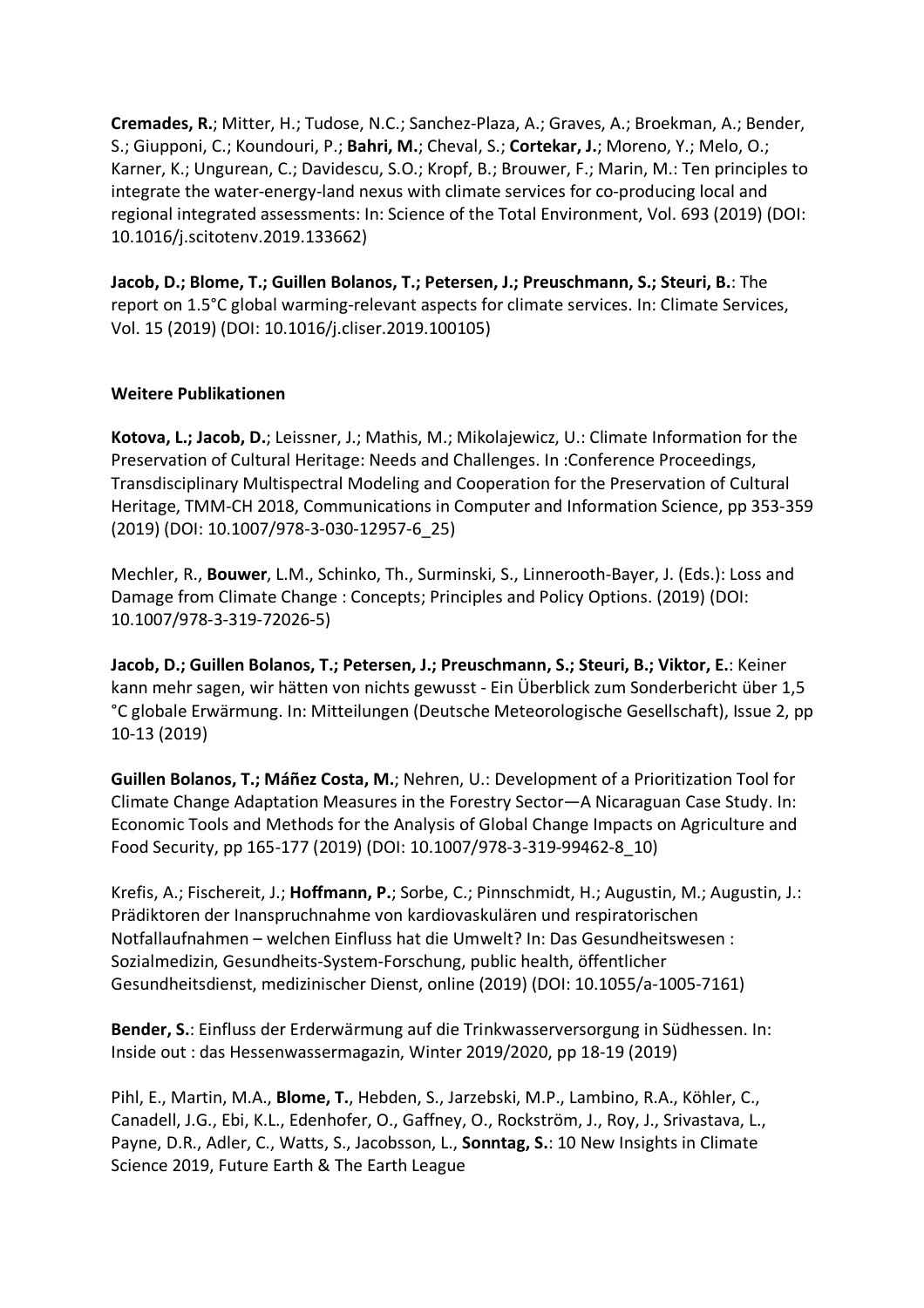**Cremades, R.**; Mitter, H.; Tudose, N.C.; Sanchez-Plaza, A.; Graves, A.; Broekman, A.; Bender, S.; Giupponi, C.; Koundouri, P.; **Bahri, M.**; Cheval, S.; **Cortekar, J.**; Moreno, Y.; Melo, O.; Karner, K.; Ungurean, C.; Davidescu, S.O.; Kropf, B.; Brouwer, F.; Marin, M.: Ten principles to integrate the water-energy-land nexus with climate services for co-producing local and regional integrated assessments: In: Science of the Total Environment, Vol. 693 (2019) (DOI: 10.1016/j.scitotenv.2019.133662)

**Jacob, D.; Blome, T.; Guillen Bolanos, T.; Petersen, J.; Preuschmann, S.; Steuri, B.**: The report on 1.5°C global warming-relevant aspects for climate services. In: Climate Services, Vol. 15 (2019) (DOI: 10.1016/j.cliser.2019.100105)

## **Weitere Publikationen**

**Kotova, L.; Jacob, D.**; Leissner, J.; Mathis, M.; Mikolajewicz, U.: Climate Information for the Preservation of Cultural Heritage: Needs and Challenges. In :Conference Proceedings, Transdisciplinary Multispectral Modeling and Cooperation for the Preservation of Cultural Heritage, TMM-CH 2018, Communications in Computer and Information Science, pp 353-359 (2019) (DOI: 10.1007/978-3-030-12957-6\_25)

Mechler, R., **Bouwer**, L.M., Schinko, Th., Surminski, S., Linnerooth-Bayer, J. (Eds.): Loss and Damage from Climate Change : Concepts; Principles and Policy Options. (2019) (DOI: 10.1007/978-3-319-72026-5)

**Jacob, D.; Guillen Bolanos, T.; Petersen, J.; Preuschmann, S.; Steuri, B.; Viktor, E.**: Keiner kann mehr sagen, wir hätten von nichts gewusst - Ein Überblick zum Sonderbericht über 1,5 °C globale Erwärmung. In: Mitteilungen (Deutsche Meteorologische Gesellschaft), Issue 2, pp 10-13 (2019)

**Guillen Bolanos, T.; Máñez Costa, M.**; Nehren, U.: Development of a Prioritization Tool for Climate Change Adaptation Measures in the Forestry Sector—A Nicaraguan Case Study. In: Economic Tools and Methods for the Analysis of Global Change Impacts on Agriculture and Food Security, pp 165-177 (2019) (DOI: 10.1007/978-3-319-99462-8\_10)

Krefis, A.; Fischereit, J.; **Hoffmann, P.**; Sorbe, C.; Pinnschmidt, H.; Augustin, M.; Augustin, J.: Prädiktoren der Inanspruchnahme von kardiovaskulären und respiratorischen Notfallaufnahmen – welchen Einfluss hat die Umwelt? In: Das Gesundheitswesen : Sozialmedizin, Gesundheits-System-Forschung, public health, öffentlicher Gesundheitsdienst, medizinischer Dienst, online (2019) (DOI: 10.1055/a-1005-7161)

**Bender, S.**: Einfluss der Erderwärmung auf die Trinkwasserversorgung in Südhessen. In: Inside out : das Hessenwassermagazin, Winter 2019/2020, pp 18-19 (2019)

Pihl, E., Martin, M.A., **Blome, T.**, Hebden, S., Jarzebski, M.P., Lambino, R.A., Köhler, C., Canadell, J.G., Ebi, K.L., Edenhofer, O., Gaffney, O., Rockström, J., Roy, J., Srivastava, L., Payne, D.R., Adler, C., Watts, S., Jacobsson, L., **Sonntag, S.**: 10 New Insights in Climate Science 2019, Future Earth & The Earth League